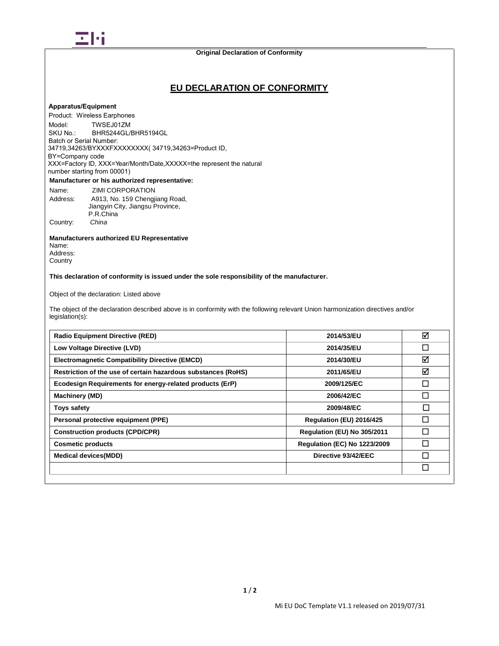

# **EU DECLARATION OF CONFORMITY**

# **Apparatus/Equipment**

Model: **Manufacturer or his authorized representative:** Product: Wireless Earphones TWSEJ01ZM SKU No.: BHR5244GL/BHR5194GL Batch or Serial Number: 34719,34263/BYXXXFXXXXXXXXX( 34719,34263=Product ID, BY=Company code XXX=Factory ID, XXX=Year/Month/Date,XXXXX=the represent the natural number starting from 00001)

Name: ZIMI CORPORATION Address: A913, No. 159 Chengjiang Road, Jiangyin City, Jiangsu Province, P.R.China Country: *China*

**Manufacturers authorized EU Representative** Name: Address: **Country** 

**This declaration of conformity is issued under the sole responsibility of the manufacturer.**

Object of the declaration: Listed above

The object of the declaration described above is in conformity with the following relevant Union harmonization directives and/or legislation(s):

| <b>Radio Equipment Directive (RED)</b>                        | 2014/53/EU                          | ☑      |
|---------------------------------------------------------------|-------------------------------------|--------|
| Low Voltage Directive (LVD)                                   | 2014/35/EU                          | П      |
| <b>Electromagnetic Compatibility Directive (EMCD)</b>         | 2014/30/EU                          | ☑      |
| Restriction of the use of certain hazardous substances (RoHS) | 2011/65/EU                          | ☑      |
| Ecodesign Requirements for energy-related products (ErP)      | 2009/125/EC                         | П      |
| Machinery (MD)                                                | 2006/42/EC                          |        |
| Toys safety                                                   | 2009/48/EC                          | $\Box$ |
| Personal protective equipment (PPE)                           | Regulation (EU) 2016/425            |        |
| <b>Construction products (CPD/CPR)</b>                        | Regulation (EU) No 305/2011         |        |
| <b>Cosmetic products</b>                                      | <b>Regulation (EC) No 1223/2009</b> |        |
| <b>Medical devices(MDD)</b>                                   | Directive 93/42/EEC                 |        |
|                                                               |                                     |        |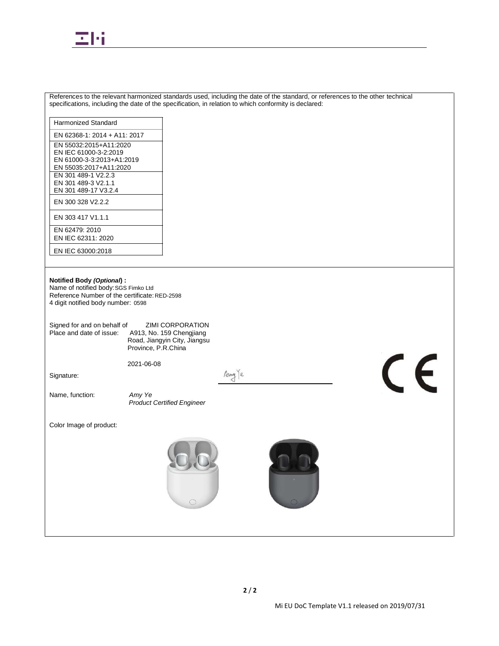

|                                                                                                                                                                                                                                                                                  | References to the relevant harmonized standards used, including the date of the standard, or references to the other technical<br>specifications, including the date of the specification, in relation to which conformity is declared: |
|----------------------------------------------------------------------------------------------------------------------------------------------------------------------------------------------------------------------------------------------------------------------------------|-----------------------------------------------------------------------------------------------------------------------------------------------------------------------------------------------------------------------------------------|
| Harmonized Standard                                                                                                                                                                                                                                                              |                                                                                                                                                                                                                                         |
| EN 62368-1: 2014 + A11: 2017                                                                                                                                                                                                                                                     |                                                                                                                                                                                                                                         |
| EN 55032:2015+A11:2020<br>EN IEC 61000-3-2:2019<br>EN 61000-3-3:2013+A1:2019<br>EN 55035:2017+A11:2020<br>EN 301 489-1 V2.2.3<br>EN 301 489-3 V2.1.1                                                                                                                             |                                                                                                                                                                                                                                         |
| EN 301 489-17 V3.2.4<br>EN 300 328 V2.2.2                                                                                                                                                                                                                                        |                                                                                                                                                                                                                                         |
| EN 303 417 V1.1.1                                                                                                                                                                                                                                                                |                                                                                                                                                                                                                                         |
| EN 62479: 2010<br>EN IEC 62311: 2020                                                                                                                                                                                                                                             |                                                                                                                                                                                                                                         |
| EN IEC 63000:2018                                                                                                                                                                                                                                                                |                                                                                                                                                                                                                                         |
| Notified Body (Optional) :<br>Name of notified body: SGS Fimko Ltd<br>Reference Number of the certificate: RED-2598<br>4 digit notified body number: 0598<br>Signed for and on behalf of<br>Place and date of issue:<br>Signature:<br>Name, function:<br>Color Image of product: | <b>ZIMI CORPORATION</b><br>A913, No. 159 Chengjiang<br>Road, Jiangyin City, Jiangsu<br>Province, P.R.China<br>CE<br>2021-06-08<br>Any e<br>Amy Ye<br><b>Product Certified Engineer</b>                                                  |
|                                                                                                                                                                                                                                                                                  |                                                                                                                                                                                                                                         |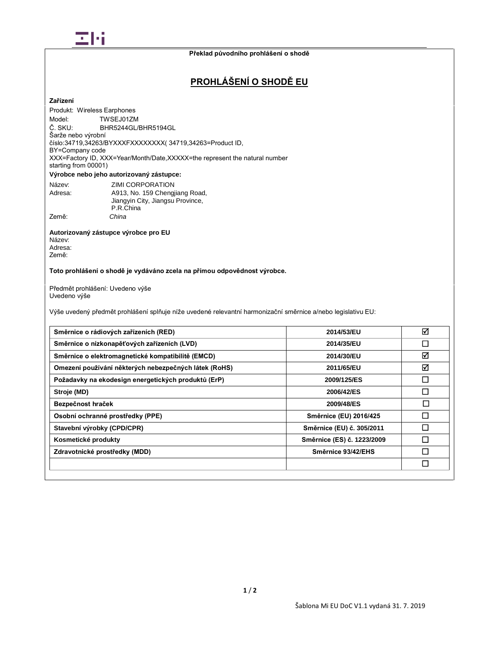

# **PROHLÁŠENÍ O SHODĚ EU**

# **Zařízení**

Model: Č. SKU: Šarže nebo výrobní XXX=Factory ID, XXX=Year/Month/Date,XXXXX=the represent the natural number **Výrobce nebo jeho autorizovaný zástupce:** Produkt: Wireless Earphones TWSEJ01ZM BHR5244GL/BHR5194GL číslo:34719,34263/BYXXXFXXXXXXXX( 34719,34263=Product ID, BY=Company code starting from 00001)

| Název:  | <b>ZIMI CORPORATION</b>          |
|---------|----------------------------------|
| Adresa: | A913, No. 159 Chengjiang Road,   |
|         | Jiangyin City, Jiangsu Province, |
|         | P.R.China                        |
| Země:   | China                            |

#### **Autorizovaný zástupce výrobce pro EU** Název: Adresa:

Země:

### **Toto prohlášení o shodě je vydáváno zcela na přímou odpovědnost výrobce.**

Předmět prohlášení: Uvedeno výše Uvedeno výše

Výše uvedený předmět prohlášení splňuje níže uvedené relevantní harmonizační směrnice a/nebo legislativu EU:

| Směrnice o rádiových zařízeních (RED)                 | 2014/53/EU                 | ☑  |
|-------------------------------------------------------|----------------------------|----|
| Směrnice o nízkonapěťových zařízeních (LVD)           | 2014/35/EU                 | П  |
| Směrnice o elektromagnetické kompatibilitě (EMCD)     | 2014/30/EU                 | ☑  |
| Omezení používání některých nebezpečných látek (RoHS) | 2011/65/EU                 | ☑  |
| Požadavky na ekodesign energetických produktů (ErP)   | 2009/125/ES                | ΓI |
| Stroje (MD)                                           | 2006/42/ES                 | П  |
| Bezpečnost hraček                                     | 2009/48/ES                 | П  |
| Osobní ochranné prostředky (PPE)                      | Směrnice (EU) 2016/425     |    |
| Stavební výrobky (CPD/CPR)                            | Směrnice (EU) č. 305/2011  |    |
| Kosmetické produkty                                   | Směrnice (ES) č. 1223/2009 |    |
| Zdravotnické prostředky (MDD)                         | Směrnice 93/42/EHS         | I  |
|                                                       |                            |    |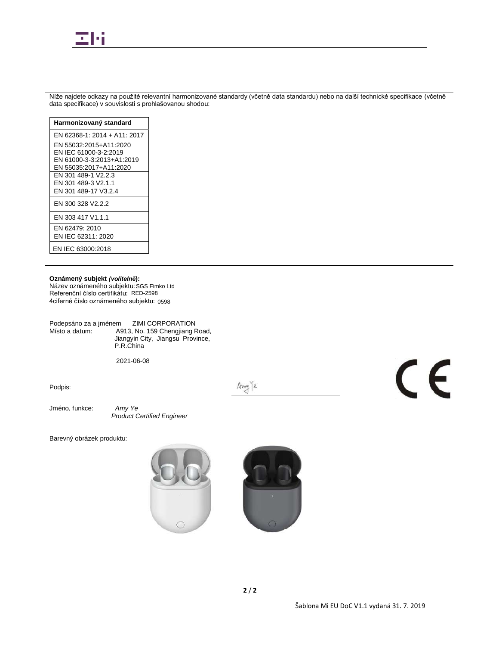

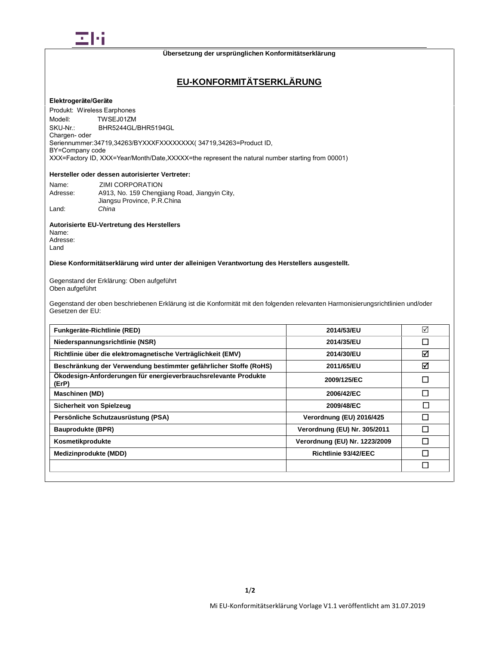

# **EU-KONFORMITÄTSERKLÄRUNG**

### **Elektrogeräte/Geräte**

Modell<sup>-</sup> Produkt: Wireless Earphones TWSEJ01ZM SKU-Nr.: BHR5244GL/BHR5194GL Chargen- oder Seriennummer:34719,34263/BYXXXFXXXXXXXX( 34719,34263=Product ID, BY=Company code XXX=Factory ID, XXX=Year/Month/Date,XXXXX=the represent the natural number starting from 00001)

### **Hersteller oder dessen autorisierter Vertreter:**

| Name:    | ZIMI CORPORATION                              |
|----------|-----------------------------------------------|
| Adresse: | A913, No. 159 Chengjiang Road, Jiangyin City, |
|          | Jiangsu Province, P.R.China                   |
| Land:    | China                                         |

#### **Autorisierte EU-Vertretung des Herstellers**

Name: Adresse: Land

### **Diese Konformitätserklärung wird unter der alleinigen Verantwortung des Herstellers ausgestellt.**

Gegenstand der Erklärung: Oben aufgeführt Oben aufgeführt

Gegenstand der oben beschriebenen Erklärung ist die Konformität mit den folgenden relevanten Harmonisierungsrichtlinien und/oder Gesetzen der EU:

| Funkgeräte-Richtlinie (RED)                                              | 2014/53/EU                    | ☑ |
|--------------------------------------------------------------------------|-------------------------------|---|
| Niederspannungsrichtlinie (NSR)                                          | 2014/35/EU                    |   |
| Richtlinie über die elektromagnetische Verträglichkeit (EMV)             | 2014/30/EU                    | ☑ |
| Beschränkung der Verwendung bestimmter gefährlicher Stoffe (RoHS)        | 2011/65/EU                    | ☑ |
| Ökodesign-Anforderungen für energieverbrauchsrelevante Produkte<br>(ErP) | 2009/125/EC                   |   |
| Maschinen (MD)                                                           | 2006/42/EC                    |   |
| Sicherheit von Spielzeug                                                 | 2009/48/EC                    | П |
| Persönliche Schutzausrüstung (PSA)                                       | Verordnung (EU) 2016/425      |   |
| <b>Bauprodukte (BPR)</b>                                                 | Verordnung (EU) Nr. 305/2011  |   |
| Kosmetikprodukte                                                         | Verordnung (EU) Nr. 1223/2009 |   |
| Medizinprodukte (MDD)                                                    | Richtlinie 93/42/EEC          |   |
|                                                                          |                               |   |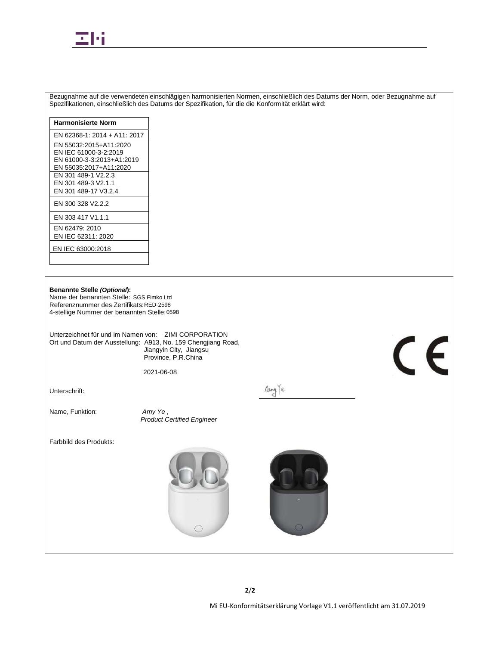

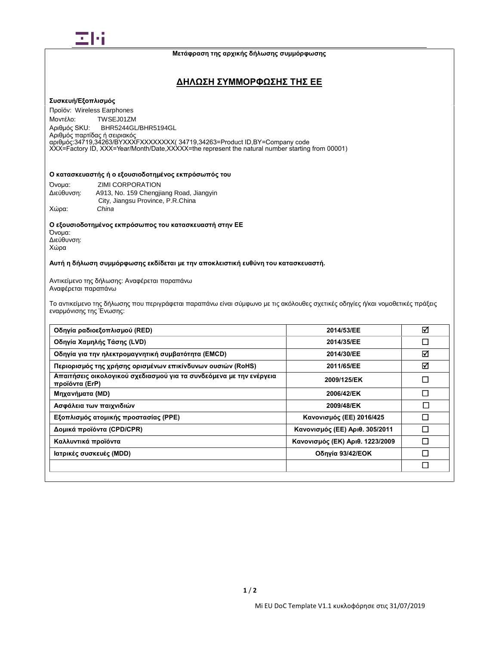

**Μετάφραση της αρχικής δήλωσης συμμόρφωσης**

# **ΔΗΛΩΣΗ ΣΥΜΜΟΡΦΩΣΗΣ ΤΗΣ ΕΕ**

### **Συσκευή/Εξοπλισμός**

Προϊόν: Wireless Earphones Μοντέλο: TWSEJ01ZM Αριθμός SKU: BHR5244GL/BHR5194GL Αριθμός παρτίδας ή σειριακός<br>αριθμός:34719,34263/ΒΥΧΧΧΕΧΧΧΧΧΧΧΧ 34719,34263=Product ID,BY=Company code  $X$ XX=Factory ID, XXX=Year/Month/Date,XXXXX=the represent the natural number starting from 00001)

#### **Ο κατασκευαστής ή ο εξουσιοδοτημένος εκπρόσωπός του:**

| Όνομα:     | <b>ZIMI CORPORATION</b>                 |
|------------|-----------------------------------------|
| Διεύθυνση: | A913, No. 159 Chengiiang Road, Jiangyin |
|            | City, Jiangsu Province, P.R.China       |
| Χώρα:      | China                                   |

**Ο εξουσιοδοτημένος εκπρόσωπος του κατασκευαστή στην ΕΕ**

Όνομα: Διεύθυνση: Χώρα

### **Αυτή η δήλωση συμμόρφωσης εκδίδεται με την αποκλειστική ευθύνη του κατασκευαστή.**

Αντικείμενο της δήλωσης: Αναφέρεται παραπάνω Αναφέρεται παραπάνω

Το αντικείμενο της δήλωσης που περιγράφεται παραπάνω είναι σύμφωνο με τις ακόλουθες σχετικές οδηγίες ή/και νομοθετικές πράξεις εναρμόνισης της Ένωσης:

| Οδηγία ραδιοεξοπλισμού (RED)                                                          | 2014/53/EE                      | ☑      |
|---------------------------------------------------------------------------------------|---------------------------------|--------|
| Οδηγία Χαμηλής Τάσης (LVD)                                                            | 2014/35/EE                      | $\Box$ |
| Οδηγία για την ηλεκτρομαγνητική συμβατότητα (EMCD)                                    | 2014/30/EE                      | ☑      |
| Περιορισμός της χρήσης ορισμένων επικίνδυνων ουσιών (RoHS)                            | 2011/65/EE                      | ☑      |
| Απαιτήσεις οικολογικού σχεδιασμού για τα συνδεόμενα με την ενέργεια<br>προϊόντα (ErP) | 2009/125/EK                     | Π      |
| Μηχανήματα (MD)                                                                       | 2006/42/EK                      | П      |
| Ασφάλεια των παιχνιδιών                                                               | 2009/48/EK                      | П      |
| Εξοπλισμός ατομικής προστασίας (PPE)                                                  | Κανονισμός (ΕΕ) 2016/425        |        |
| Δομικά προϊόντα (CPD/CPR)                                                             | Κανονισμός (ΕΕ) Αριθ. 305/2011  |        |
| Καλλυντικά προϊόντα                                                                   | Κανονισμός (ΕΚ) Αριθ. 1223/2009 |        |
| Ιατρικές συσκευές (MDD)                                                               | Οδηγία 93/42/ΕΟΚ                |        |
|                                                                                       |                                 | $\Box$ |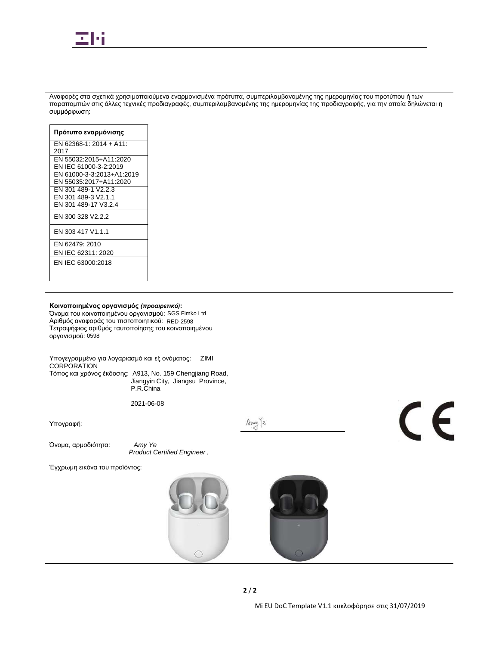

**Πρότυπο εναρμόνισης Αριθμός Αναφοράς** 

συμμόρφωση:

EN 62368-1: 2014 + A11:  $2017$  Services (Shanghai) Co., Ltd. Services (Shanghai) Co., Ltd. Services (Shanghai) Co., Ltd. Services (Shanghai) Co., Ltd. Services (Shanghai) Co., Ltd. Services (Shanghai) Co., Ltd. Services (Shanghai) Co., Ltd. Serv EN 55032:2015+A11:2020 EN IEC 61000-3-2:2019 EN 61000-3-3:2013+A1:2019 EN 55035:2017+A11:2020 EN 301 489-1 V2.2.3 EN 301 489-3 V2.1.1 EN 301 489-17 V3.2.4 EN 300 328 V2.2.2 EN 303 417 V1.1.1 SZCR21040207604 SGS-CSTC STANDARD STANDARDS TECHNical Services Co., Ltd., Shenzhenzhenzhenzhen EN 62479: 2010 EN IEC 62311: 2020 SZCR210402076905 SGS-CSTC Standards Technical Services Co., Ltd., Shenzhen EN IEC 63000:2018**Κοινοποιημένος οργανισμός** *(προαιρετικό)***:** Όνομα του κοινοποιημένου οργανισμού: SGS Fimko Ltd Αριθμός αναφοράς του πιστοποιητικού: RED-2598 Τετραψήφιος αριθμός ταυτοποίησης του κοινοποιημένου οργανισμού: 0598 Υπογεγραμμένο για λογαριασμό και εξ ονόματος: ZIMI CORPORATION Τόπος και χρόνος έκδοσης: A913, No. 159 Chengjiang Road, Jiangyin City, Jiangsu Province, P.R.China 2021-06-08  $\mathsf{C}\in$ Any le Υπογραφή: Όνομα, αρμοδιότητα: *Amy Ye Product Certified Engineer ,* Έγχρωμη εικόνα του προϊόντος:  $\bigcirc$  $\overline{a}$ **2** / **2** Mi EU DoC Template V1.1 κυκλοφόρησε στις 31/07/2019

Αναφορές στα σχετικά χρησιμοποιούμενα εναρμονισμένα πρότυπα, συμπεριλαμβανομένης της ημερομηνίας του προτύπου ή των παραπομπών στις άλλες τεχνικές προδιαγραφές, συμπεριλαμβανομένης της ημερομηνίας της προδιαγραφής, για την οποία δηλώνεται η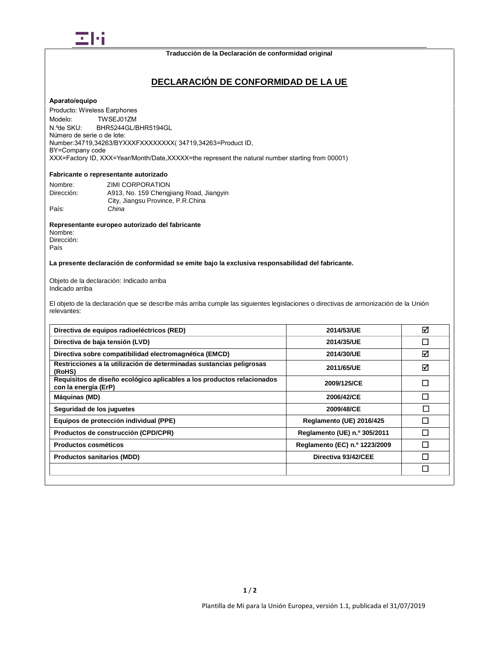

# **DECLARACIÓN DE CONFORMIDAD DE LA UE**

#### **Aparato/equipo**

Modelo: N ºde SKU: Número de serie o de lote: XXX=Factory ID, XXX=Year/Month/Date,XXXXX=the represent the natural number starting from 00001)Producto: Wireless Earphones TWSEJ01ZM BHR5244GL/BHR5194GL Number:34719,34263/BYXXXFXXXXXXXX( 34719,34263=Product ID, BY=Company code

# **Fabricante o representante autorizado**

| Nombre:    | ZIMI CORPORATION                        |
|------------|-----------------------------------------|
| Dirección: | A913, No. 159 Chengjiang Road, Jiangyin |
|            | City, Jiangsu Province, P.R.China       |
| País:      | China                                   |

#### **Representante europeo autorizado del fabricante** Nombre:

Dirección: País

### **La presente declaración de conformidad se emite bajo la exclusiva responsabilidad del fabricante.**

Objeto de la declaración: Indicado arriba Indicado arriba

El objeto de la declaración que se describe más arriba cumple las siguientes legislaciones o directivas de armonización de la Unión relevantes:

| Directiva de equipos radioeléctricos (RED)                                                     | 2014/53/UE                      | ⊠ |
|------------------------------------------------------------------------------------------------|---------------------------------|---|
| Directiva de baja tensión (LVD)                                                                | 2014/35/UE                      |   |
| Directiva sobre compatibilidad electromagnética (EMCD)                                         | 2014/30/UE                      | ☑ |
| Restricciones a la utilización de determinadas sustancias peligrosas<br>(RoHS)                 | 2011/65/UE                      | ☑ |
| Requisitos de diseño ecológico aplicables a los productos relacionados<br>con la energía (ErP) | 2009/125/CE                     |   |
| Máquinas (MD)                                                                                  | 2006/42/CE                      |   |
| Seguridad de los juguetes                                                                      | 2009/48/CE                      | П |
| Equipos de protección individual (PPE)                                                         | <b>Reglamento (UE) 2016/425</b> |   |
| Productos de construcción (CPD/CPR)                                                            | Reglamento (UE) n.º 305/2011    |   |
| Productos cosméticos                                                                           | Reglamento (EC) n.º 1223/2009   |   |
| <b>Productos sanitarios (MDD)</b>                                                              | Directiva 93/42/CEE             |   |
|                                                                                                |                                 |   |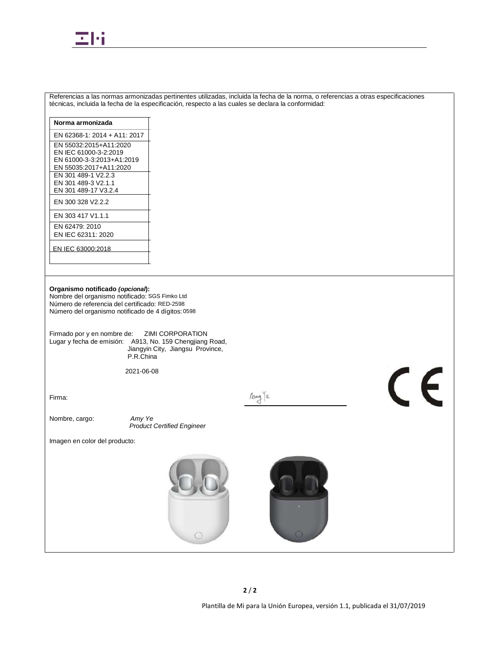

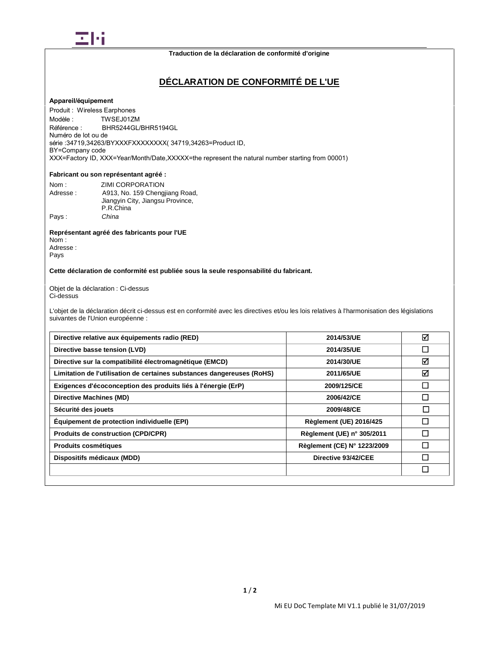

# **DÉCLARATION DE CONFORMITÉ DE L'UE**

#### **Appareil/équipement**

Modèle · Numéro de lot ou de Produit : Wireless Earphones TWSEJ01ZM Référence : BHR5244GL/BHR5194GL série :34719,34263/BYXXXFXXXXXXXX( 34719,34263=Product ID, BY=Company code XXX=Factory ID, XXX=Year/Month/Date,XXXXX=the represent the natural number starting from 00001)

# **Fabricant ou son représentant agréé:**

| Nom:     | ZIMI CORPORATION                 |
|----------|----------------------------------|
| Adresse: | A913, No. 159 Chengjiang Road,   |
|          | Jiangyin City, Jiangsu Province, |
|          | P.R.China                        |
| Pays:    | China                            |

#### **Représentant agréé des fabricants pour l'UE**

Nom : Adresse : Pays

#### **Cette déclaration de conformité est publiée sous la seule responsabilité du fabricant.**

Objet de la déclaration : Ci-dessus Ci-dessus

L'objet de la déclaration décrit ci-dessus est en conformité avec les directives et/ou les lois relatives à l'harmonisation des législations suivantes de l'Union européenne :

| Directive relative aux équipements radio (RED)                         | 2014/53/UE                     | ⊠  |
|------------------------------------------------------------------------|--------------------------------|----|
| Directive basse tension (LVD)                                          | 2014/35/UE                     | I. |
| Directive sur la compatibilité électromagnétique (EMCD)                | 2014/30/UE                     | ☑  |
| Limitation de l'utilisation de certaines substances dangereuses (RoHS) | 2011/65/UE                     | ☑  |
| Exigences d'écoconception des produits liés à l'énergie (ErP)          | 2009/125/CE                    | m. |
| Directive Machines (MD)                                                | 2006/42/CE                     |    |
| Sécurité des jouets                                                    | 2009/48/CE                     | П  |
| <b>Équipement de protection individuelle (EPI)</b>                     | <b>Règlement (UE) 2016/425</b> |    |
| <b>Produits de construction (CPD/CPR)</b>                              | Règlement (UE) n° 305/2011     |    |
| <b>Produits cosmétiques</b>                                            | Règlement (CE) N° 1223/2009    |    |
| Dispositifs médicaux (MDD)                                             | Directive 93/42/CEE            |    |
|                                                                        |                                |    |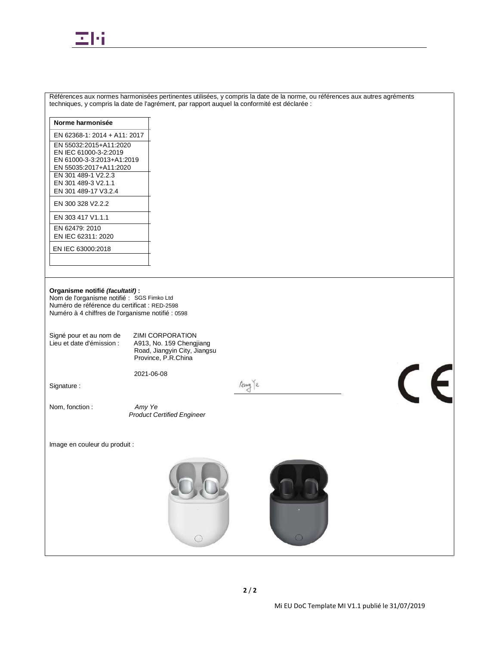

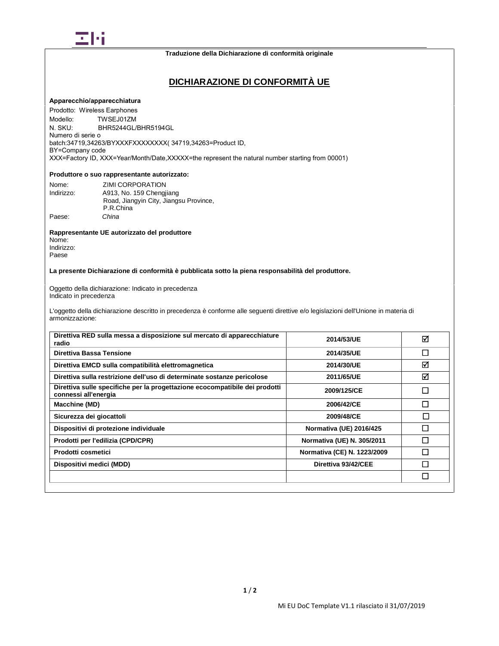

# **DICHIARAZIONE DI CONFORMITÀ UE**

#### **Apparecchio/apparecchiatura**

Modello: N SKU<sup>.</sup> Numero di serie o Prodotto: Wireless Earphones TWSEJ01ZM BHR5244GL/BHR5194GL batch:34719,34263/BYXXXFXXXXXXXX( 34719,34263=Product ID, BY=Company code XXX=Factory ID, XXX=Year/Month/Date,XXXXX=the represent the natural number starting from 00001)

#### **Produttore o suo rappresentante autorizzato:**

| Nome:      | ZIMI CORPORATION                       |
|------------|----------------------------------------|
| Indirizzo: | A913, No. 159 Chengjiang               |
|            | Road, Jiangyin City, Jiangsu Province, |
|            | P.R.China                              |
| Paese:     | China                                  |

#### **Rappresentante UE autorizzato del produttore**

Nome: Indirizzo: Paese

### **La presente Dichiarazione di conformità è pubblicata sotto la piena responsabilità del produttore.**

Oggetto della dichiarazione: Indicato in precedenza Indicato in precedenza

L'oggetto della dichiarazione descritto in precedenza è conforme alle seguenti direttive e/o legislazioni dell'Unione in materia di armonizzazione:

| Direttiva RED sulla messa a disposizione sul mercato di apparecchiature<br>radio                    | 2014/53/UE                  | ⊠ |
|-----------------------------------------------------------------------------------------------------|-----------------------------|---|
| Direttiva Bassa Tensione                                                                            | 2014/35/UE                  | П |
| Direttiva EMCD sulla compatibilità elettromagnetica                                                 | 2014/30/UE                  | ☑ |
| Direttiva sulla restrizione dell'uso di determinate sostanze pericolose                             | 2011/65/UE                  | ☑ |
| Direttiva sulle specifiche per la progettazione ecocompatibile dei prodotti<br>connessi all'energia | 2009/125/CE                 |   |
| Macchine (MD)                                                                                       | 2006/42/CE                  | П |
| Sicurezza dei giocattoli                                                                            | 2009/48/CE                  | П |
| Dispositivi di protezione individuale                                                               | Normativa (UE) 2016/425     | ı |
| Prodotti per l'edilizia (CPD/CPR)                                                                   | Normativa (UE) N. 305/2011  |   |
| Prodotti cosmetici                                                                                  | Normativa (CE) N. 1223/2009 | I |
| Dispositivi medici (MDD)                                                                            | Direttiva 93/42/CEE         |   |
|                                                                                                     |                             |   |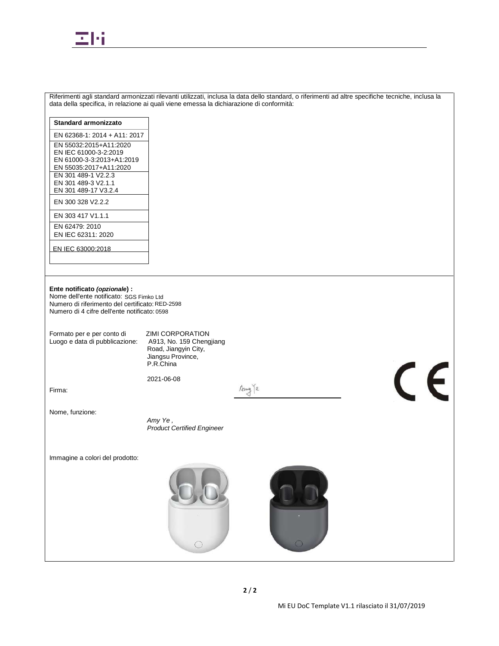

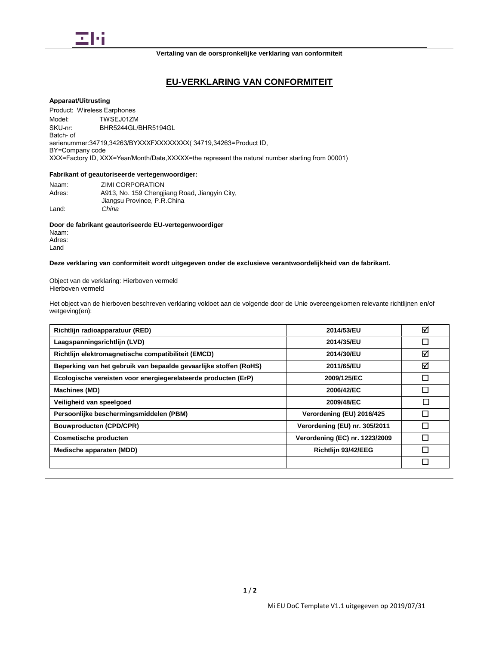

#### **Vertaling van de oorspronkelijke verklaring van conformiteit**

# **EU-VERKLARING VAN CONFORMITEIT**

#### **Apparaat/Uitrusting**

Model<sup>-</sup> Product: Wireless Earphones TWSEJ01ZM SKU-nr: BHR5244GL/BHR5194GL Batch- of serienummer:34719,34263/BYXXXFXXXXXXXX( 34719,34263=Product ID, BY=Company code XXX=Factory ID, XXX=Year/Month/Date,XXXXX=the represent the natural number starting from 00001)

### **Fabrikant of geautoriseerde vertegenwoordiger:**

| Naam:  | ZIMI CORPORATION                              |
|--------|-----------------------------------------------|
| Adres: | A913, No. 159 Chengjiang Road, Jiangyin City, |
|        | Jiangsu Province, P.R.China                   |
| Land:  | China                                         |

**Door de fabrikant geautoriseerde EU-vertegenwoordiger** Naam:

Adres: Land

**Deze verklaring van conformiteit wordt uitgegeven onder de exclusieve verantwoordelijkheid van de fabrikant.**

Object van de verklaring: Hierboven vermeld Hierboven vermeld

Het object van de hierboven beschreven verklaring voldoet aan de volgende door de Unie overeengekomen relevante richtlijnen en/of wetgeving(en):

| Richtlijn radioapparatuur (RED)                                   | 2014/53/EU                     | ☑      |
|-------------------------------------------------------------------|--------------------------------|--------|
| Laagspanningsrichtlijn (LVD)                                      | 2014/35/EU                     |        |
| Richtlijn elektromagnetische compatibiliteit (EMCD)               | 2014/30/EU                     | ☑      |
| Beperking van het gebruik van bepaalde gevaarlijke stoffen (RoHS) | 2011/65/EU                     | ☑      |
| Ecologische vereisten voor energiegerelateerde producten (ErP)    | 2009/125/EC                    |        |
| Machines (MD)                                                     | 2006/42/EC                     |        |
| Veiligheid van speelgoed                                          | 2009/48/EC                     | □      |
| Persoonlijke beschermingsmiddelen (PBM)                           | Verordening (EU) 2016/425      |        |
| <b>Bouwproducten (CPD/CPR)</b>                                    | Verordening (EU) nr. 305/2011  |        |
| <b>Cosmetische producten</b>                                      | Verordening (EC) nr. 1223/2009 |        |
| Medische apparaten (MDD)                                          | Richtlijn 93/42/EEG            |        |
|                                                                   |                                | $\Box$ |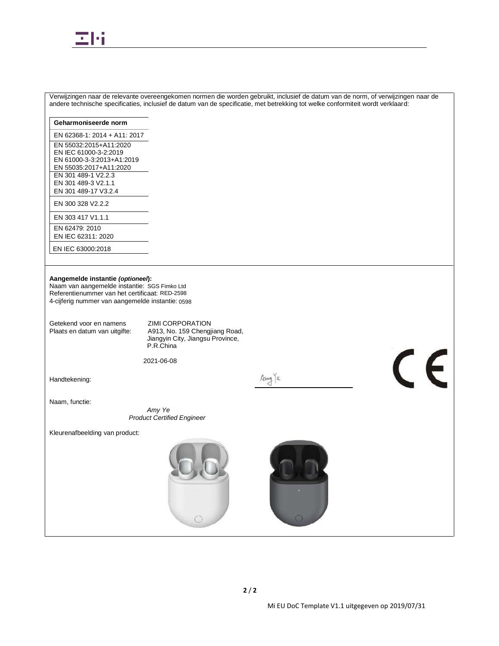

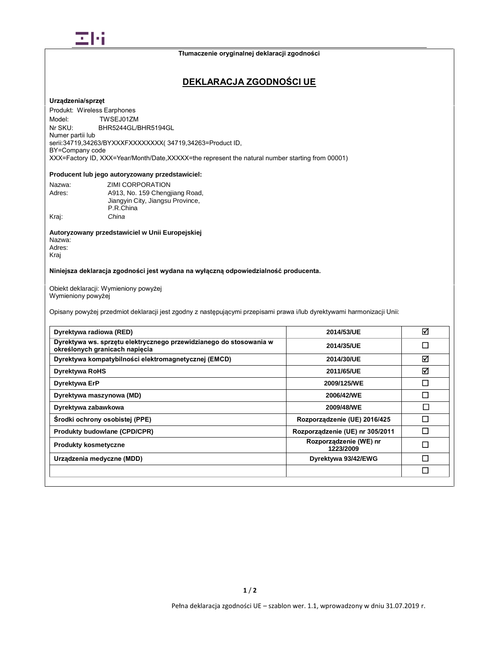

# **DEKLARACJA ZGODNOŚCI UE**

### **Urządzenia/sprzęt**

Model<sup>-</sup> Nr SKU<sup>.</sup> Numer partii lub Produkt: Wireless Earphones Model: TWSEJ01ZM BHR5244GL/BHR5194GL serii:34719,34263/BYXXXFXXXXXXXX( 34719,34263=Product ID, BY=Company code XXX=Factory ID, XXX=Year/Month/Date,XXXXX=the represent the natural number starting from 00001)

### **Producent lub jego autoryzowany przedstawiciel:**

| Nazwa: | ZIMI CORPORATION                 |
|--------|----------------------------------|
| Adres: | A913, No. 159 Chengjiang Road,   |
|        | Jiangyin City, Jiangsu Province, |
|        | P.R.China                        |
| Kraj:  | China                            |

#### **Autoryzowany przedstawiciel w Unii Europejskiej** Nazwa: Adres:

Kraj

# **Niniejsza deklaracja zgodności jest wydana na wyłączną odpowiedzialność producenta.**

Obiekt deklaracji: Wymieniony powyżej Wymieniony powyżej

Opisany powyżej przedmiot deklaracji jest zgodny z następującymi przepisami prawa i/lub dyrektywami harmonizacji Unii:

| Dyrektywa radiowa (RED)                                                                              | 2014/53/UE                          | ⊠ |
|------------------------------------------------------------------------------------------------------|-------------------------------------|---|
| Dyrektywa ws. sprzętu elektrycznego przewidzianego do stosowania w<br>określonych granicach napięcia | 2014/35/UE                          |   |
| Dyrektywa kompatybilności elektromagnetycznej (EMCD)                                                 | 2014/30/UE                          | ⊠ |
| <b>Dyrektywa RoHS</b>                                                                                | 2011/65/UE                          | ☑ |
| Dyrektywa ErP                                                                                        | 2009/125/WE                         |   |
| Dyrektywa maszynowa (MD)                                                                             | 2006/42/WE                          |   |
| Dyrektywa zabawkowa                                                                                  | 2009/48/WE                          | П |
| Środki ochrony osobistej (PPE)                                                                       | Rozporządzenie (UE) 2016/425        |   |
| <b>Produkty budowlane (CPD/CPR)</b>                                                                  | Rozporządzenie (UE) nr 305/2011     |   |
| <b>Produkty kosmetyczne</b>                                                                          | Rozporządzenie (WE) nr<br>1223/2009 | □ |
| Urządzenia medyczne (MDD)                                                                            | Dyrektywa 93/42/EWG                 |   |
|                                                                                                      |                                     |   |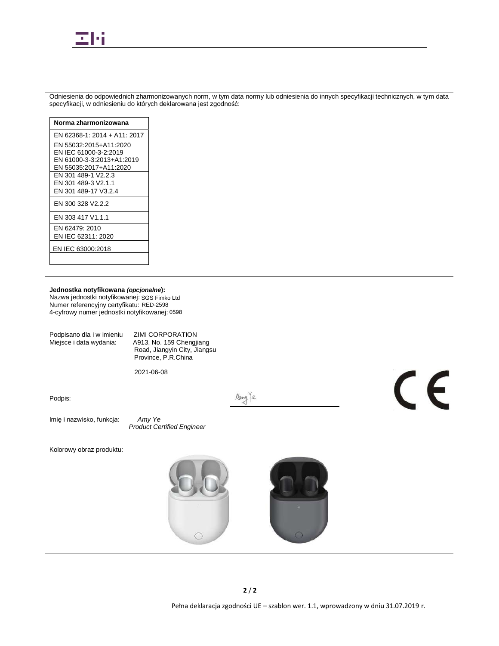

| Odniesienia do odpowiednich zharmonizowanych norm, w tym data normy lub odniesienia do innych specyfikacji technicznych, w tym data<br>specyfikacji, w odniesieniu do których deklarowana jest zgodność:                                             |                                                                                                                                                  |  |  |
|------------------------------------------------------------------------------------------------------------------------------------------------------------------------------------------------------------------------------------------------------|--------------------------------------------------------------------------------------------------------------------------------------------------|--|--|
| Norma zharmonizowana                                                                                                                                                                                                                                 |                                                                                                                                                  |  |  |
| EN 62368-1: 2014 + A11: 2017                                                                                                                                                                                                                         |                                                                                                                                                  |  |  |
| EN 55032:2015+A11:2020                                                                                                                                                                                                                               |                                                                                                                                                  |  |  |
| EN IEC 61000-3-2:2019                                                                                                                                                                                                                                |                                                                                                                                                  |  |  |
| EN 61000-3-3:2013+A1:2019<br>EN 55035:2017+A11:2020                                                                                                                                                                                                  |                                                                                                                                                  |  |  |
| EN 301 489-1 V2.2.3                                                                                                                                                                                                                                  |                                                                                                                                                  |  |  |
| EN 301 489-3 V2.1.1<br>EN 301 489-17 V3.2.4                                                                                                                                                                                                          |                                                                                                                                                  |  |  |
| EN 300 328 V2.2.2                                                                                                                                                                                                                                    |                                                                                                                                                  |  |  |
| EN 303 417 V1.1.1                                                                                                                                                                                                                                    |                                                                                                                                                  |  |  |
| EN 62479: 2010                                                                                                                                                                                                                                       |                                                                                                                                                  |  |  |
| EN IEC 62311: 2020                                                                                                                                                                                                                                   |                                                                                                                                                  |  |  |
| EN IEC 63000:2018                                                                                                                                                                                                                                    |                                                                                                                                                  |  |  |
|                                                                                                                                                                                                                                                      |                                                                                                                                                  |  |  |
|                                                                                                                                                                                                                                                      |                                                                                                                                                  |  |  |
| Jednostka notyfikowana (opcjonalne):<br>Nazwa jednostki notyfikowanej: SGS Fimko Ltd<br>Numer referencyjny certyfikatu: RED-2598<br>4-cyfrowy numer jednostki notyfikowanej: 0598<br>Podpisano dla i w imieniu<br>Miejsce i data wydania:<br>Podpis: | <b>ZIMI CORPORATION</b><br>A913, No. 159 Chengjiang<br>Road, Jiangyin City, Jiangsu<br>Province, P.R.China<br>2021-06-08<br>$\epsilon$<br>Amy le |  |  |
| Imię i nazwisko, funkcja:                                                                                                                                                                                                                            | Amy Ye<br><b>Product Certified Engineer</b>                                                                                                      |  |  |
| Kolorowy obraz produktu:                                                                                                                                                                                                                             |                                                                                                                                                  |  |  |
|                                                                                                                                                                                                                                                      | $\bigcirc$<br>$\circ$<br>$\bigcirc$                                                                                                              |  |  |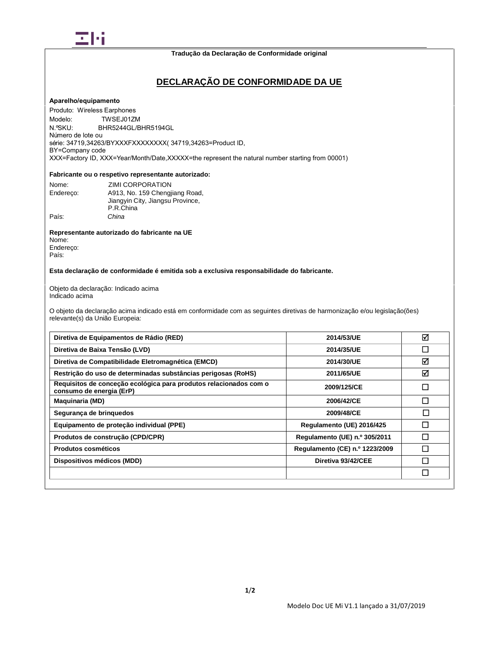

# **DECLARAÇÃO DE CONFORMIDADE DA UE**

#### **Aparelho/equipamento**

Modelo: Número de lote ou Produto: Wireless Earphones TWSEJ01ZM N.ºSKU: BHR5244GL/BHR5194GL série: 34719,34263/BYXXXFXXXXXXXX( 34719,34263=Product ID, BY=Company code XXX=Factory ID, XXX=Year/Month/Date,XXXXX=the represent the natural number starting from 00001)

### **Fabricante ou o respetivo representante autorizado:**

| Nome:     | <b>ZIMI CORPORATION</b>          |
|-----------|----------------------------------|
| Endereco: | A913. No. 159 Chengjiang Road,   |
|           | Jiangyin City, Jiangsu Province, |
|           | P.R.China                        |
| País:     | China                            |

### **Representante autorizado do fabricante na UE**

Nome: Endereço: País:

#### **Esta declaração de conformidade é emitida sob a exclusiva responsabilidade do fabricante.**

Objeto da declaração: Indicado acima Indicado acima

O objeto da declaração acima indicado está em conformidade com as seguintes diretivas de harmonização e/ou legislação(ões) relevante(s) da União Europeia:

| Diretiva de Equipamentos de Rádio (RED)                                                       | 2014/53/UE                     | ☑         |
|-----------------------------------------------------------------------------------------------|--------------------------------|-----------|
| Diretiva de Baixa Tensão (LVD)                                                                | 2014/35/UE                     | П         |
| Diretiva de Compatibilidade Eletromagnética (EMCD)                                            | 2014/30/UE                     | ⊠         |
| Restrição do uso de determinadas substâncias perigosas (RoHS)                                 | 2011/65/UE                     | ☑         |
| Requisitos de conceção ecológica para produtos relacionados com o<br>consumo de energia (ErP) | 2009/125/CE                    | <b>Ti</b> |
| <b>Maquinaria (MD)</b>                                                                        | 2006/42/CE                     | Г         |
| Segurança de brinquedos                                                                       | 2009/48/CE                     | П         |
| Equipamento de proteção individual (PPE)                                                      | Regulamento (UE) 2016/425      | П         |
| Produtos de construção (CPD/CPR)                                                              | Regulamento (UE) n.º 305/2011  |           |
| Produtos cosméticos                                                                           | Regulamento (CE) n.º 1223/2009 |           |
| Dispositivos médicos (MDD)                                                                    | Diretiva 93/42/CEE             |           |
|                                                                                               |                                |           |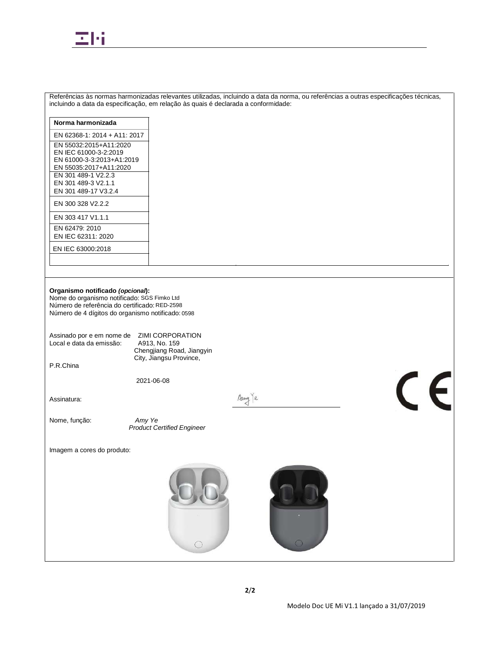

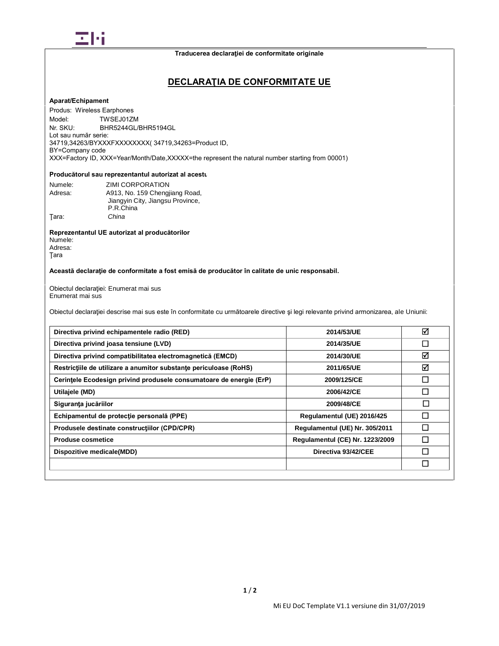

# **DECLARAŢIA DE CONFORMITATE UE**

### **Aparat/Echipament**

Model: Nr SKU<sup>-</sup> Lot sau număr serie: Produs: Wireless Earphones TWSEJ01ZM BHR5244GL/BHR5194GL 34719,34263/BYXXXFXXXXXXXX( 34719,34263=Product ID, BY=Company code XXX=Factory ID, XXX=Year/Month/Date,XXXXX=the represent the natural number starting from 00001)

### Producătorul sau reprezentantul autorizat al acestu

| Numele: | ZIMI CORPORATION                 |
|---------|----------------------------------|
| Adresa: | A913, No. 159 Chengjiang Road,   |
|         | Jiangyin City, Jiangsu Province, |
|         | P.R.China                        |
| Tara:   | China                            |

#### **Reprezentantul UE autorizat al producătorilor** Numele:

Adresa: Ţara

### **Această declaraţie de conformitate a fost emisă de producător în calitate de unic responsabil.**

Obiectul declarației: Enumerat mai sus Enumerat mai sus

Obiectul declaraţiei descrise mai sus este în conformitate cu următoarele directive şi legi relevante privind armonizarea, ale Uniunii:

| 2014/53/UE                             | ☑ |
|----------------------------------------|---|
| 2014/35/UE                             |   |
| 2014/30/UE                             | ☑ |
| 2011/65/UE                             | ☑ |
| 2009/125/CE                            |   |
| 2006/42/CE                             |   |
| 2009/48/CE                             | П |
| Regulamentul (UE) 2016/425             |   |
| Regulamentul (UE) Nr. 305/2011         |   |
| <b>Regulamentul (CE) Nr. 1223/2009</b> |   |
| Directiva 93/42/CEE                    |   |
|                                        |   |
|                                        |   |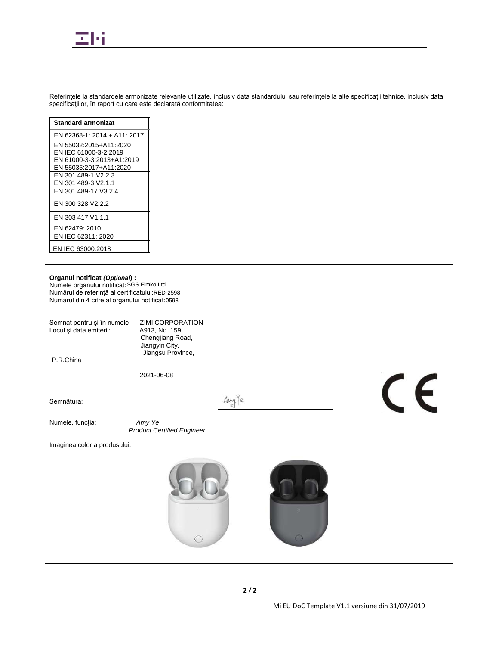

| Referințele la standardele armonizate relevante utilizate, inclusiv data standardului sau referințele la alte specificații tehnice, inclusiv data<br>specificațiilor, în raport cu care este declarată conformitatea: |                                                                                              |  |  |
|-----------------------------------------------------------------------------------------------------------------------------------------------------------------------------------------------------------------------|----------------------------------------------------------------------------------------------|--|--|
| <b>Standard armonizat</b>                                                                                                                                                                                             |                                                                                              |  |  |
| EN 62368-1: 2014 + A11: 2017                                                                                                                                                                                          |                                                                                              |  |  |
| EN 55032:2015+A11:2020<br>EN IEC 61000-3-2:2019<br>EN 61000-3-3:2013+A1:2019<br>EN 55035:2017+A11:2020                                                                                                                |                                                                                              |  |  |
| EN 301 489-1 V2.2.3<br>EN 301 489-3 V2.1.1<br>EN 301 489-17 V3.2.4                                                                                                                                                    |                                                                                              |  |  |
| EN 300 328 V2.2.2                                                                                                                                                                                                     |                                                                                              |  |  |
| EN 303 417 V1.1.1                                                                                                                                                                                                     |                                                                                              |  |  |
| EN 62479: 2010<br>EN IEC 62311: 2020                                                                                                                                                                                  |                                                                                              |  |  |
| EN IEC 63000:2018                                                                                                                                                                                                     |                                                                                              |  |  |
| Organul notificat (Optional) :<br>Numele organului notificat: SGS Fimko Ltd<br>Numărul de referință al certificatului:RED-2598<br>Numărul din 4 cifre al organului notificat: 0598                                    |                                                                                              |  |  |
| Semnat pentru și în numele<br>Locul și data emiterii:                                                                                                                                                                 | ZIMI CORPORATION<br>A913, No. 159<br>Chengjiang Road,<br>Jiangyin City,<br>Jiangsu Province, |  |  |
| P.R.China                                                                                                                                                                                                             |                                                                                              |  |  |
|                                                                                                                                                                                                                       | 2021-06-08                                                                                   |  |  |
| Semnătura:                                                                                                                                                                                                            | $\epsilon$<br>Any le                                                                         |  |  |
| Numele, funcția:                                                                                                                                                                                                      | Amy Ye<br><b>Product Certified Engineer</b>                                                  |  |  |
| Imaginea color a produsului:                                                                                                                                                                                          |                                                                                              |  |  |
|                                                                                                                                                                                                                       | 0<br>$\circ$                                                                                 |  |  |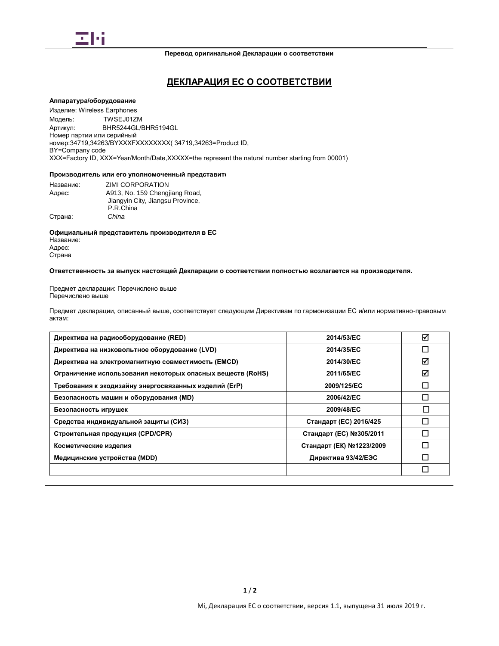

# **ДЕКЛАРАЦИЯ ЕС О СООТВЕТСТВИИ**

#### **Аппаратура/оборудование**

Модель: Номер партии или серийный Изделие: Wireless Earphones TWSEJ01ZM Артикул: BHR5244GL/BHR5194GL номер:34719,34263/BYXXXFXXXXXXXX( 34719,34263=Product ID, BY=Company code XXX=Factory ID, XXX=Year/Month/Date,XXXXX=the represent the natural number starting from 00001)

#### Производитель или его уполномоченный представите

| Название: | ZIMI CORPORATION                 |
|-----------|----------------------------------|
| Адрес:    | A913, No. 159 Chengjiang Road,   |
|           | Jiangyin City, Jiangsu Province, |
|           | P.R.China                        |
| Страна:   | China                            |

**Официальный представитель производителя в ЕС** Название: Адрес: Страна

**Ответственность за выпуск настоящей Декларации о соответствии полностью возлагается на производителя.**

Предмет декларации: Перечислено выше Перечислено выше

Предмет декларации, описанный выше, соответствует следующим Директивам по гармонизации ЕС и/или нормативно-правовым актам:

| Директива на радиооборудование (RED)                       | 2014/53/EC               | ☑            |
|------------------------------------------------------------|--------------------------|--------------|
| Директива на низковольтное оборудование (LVD)              | 2014/35/EC               |              |
| Директива на электромагнитную совместимость (EMCD)         | 2014/30/EC               | ☑            |
| Ограничение использования некоторых опасных веществ (RoHS) | 2011/65/EC               | ☑            |
| Требования к экодизайну энергосвязанных изделий (ErP)      | 2009/125/EC              |              |
| Безопасность машин и оборудования (MD)                     | 2006/42/EC               |              |
| Безопасность игрушек                                       | 2009/48/EC               | $\mathsf{L}$ |
| Средства индивидуальной защиты (СИЗ)                       | Стандарт (ЕС) 2016/425   |              |
| Строительная продукция (CPD/CPR)                           | Стандарт (ЕС) №305/2011  |              |
| Косметические изделия                                      | Стандарт (ЕК) №1223/2009 |              |
| Медицинские устройства (MDD)                               | Директива 93/42/ЕЭС      |              |
|                                                            |                          | $\Box$       |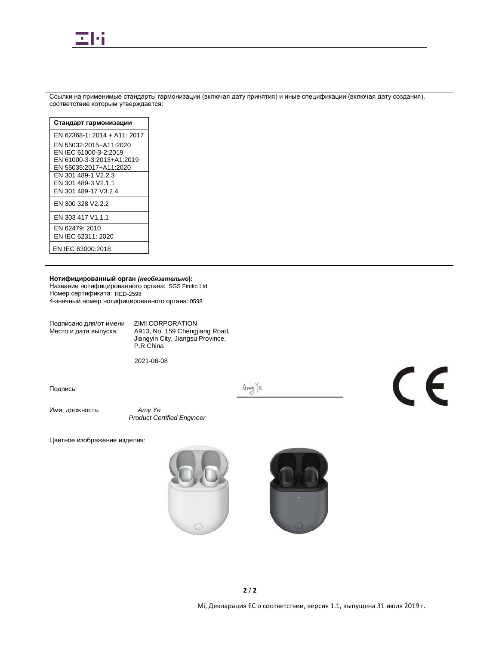

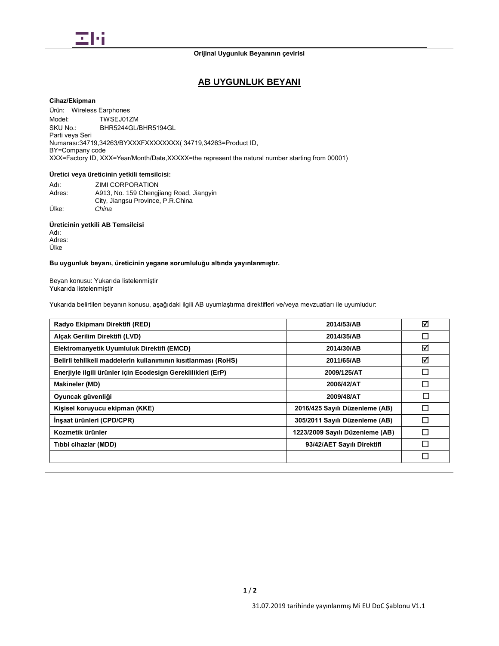

# **Orijinal Uygunluk Beyanının çevirisi**

# **AB UYGUNLUK BEYANI**

# **Cihaz/Ekipman**

 Ürün: Wireless Earphones Model: SKU No.: Parti veya Seri TWSEJ01ZM BHR5244GL/BHR5194GL Numarası:34719,34263/BYXXXFXXXXXXXX( 34719,34263=Product ID, BY=Company code XXX=Factory ID, XXX=Year/Month/Date,XXXXX=the represent the natural number starting from 00001)

# **Üretici veya üreticinin yetkili temsilcisi:**

| Adı:   | ZIMI CORPORATION                        |
|--------|-----------------------------------------|
| Adres: | A913, No. 159 Chengiiang Road, Jiangyin |
|        | City, Jiangsu Province, P.R.China       |
| Ülke:  | China                                   |

# **Üreticinin yetkili AB Temsilcisi**

Adı: Adres: Ülke

# **Bu uygunluk beyanı, üreticinin yegane sorumluluğu altında yayınlanmıştır.**

Beyan konusu: Yukarıda listelenmiştir Yukarıda listelenmiştir

Yukarıda belirtilen beyanın konusu, aşağıdaki ilgili AB uyumlaştırma direktifleri ve/veya mevzuatları ile uyumludur:

| Radyo Ekipmanı Direktifi (RED)                                | 2014/53/AB                      | ☑      |
|---------------------------------------------------------------|---------------------------------|--------|
| Alcak Gerilim Direktifi (LVD)                                 | 2014/35/AB                      | $\Box$ |
| Elektromanyetik Uyumluluk Direktifi (EMCD)                    | 2014/30/AB                      | ☑      |
| Belirli tehlikeli maddelerin kullanımının kısıtlanması (RoHS) | 2011/65/AB                      | ☑      |
| Enerjiyle ilgili ürünler için Ecodesign Gereklilikleri (ErP)  | 2009/125/AT                     | $\Box$ |
| <b>Makineler (MD)</b>                                         | 2006/42/AT                      | П      |
| Oyuncak güvenliği                                             | 2009/48/AT                      | □      |
| Kişisel koruyucu ekipman (KKE)                                | 2016/425 Sayılı Düzenleme (AB)  | П      |
| İnşaat ürünleri (CPD/CPR)                                     | 305/2011 Sayılı Düzenleme (AB)  |        |
| Kozmetik ürünler                                              | 1223/2009 Sayılı Düzenleme (AB) |        |
| Tıbbi cihazlar (MDD)                                          | 93/42/AET Sayılı Direktifi      |        |
|                                                               |                                 | П      |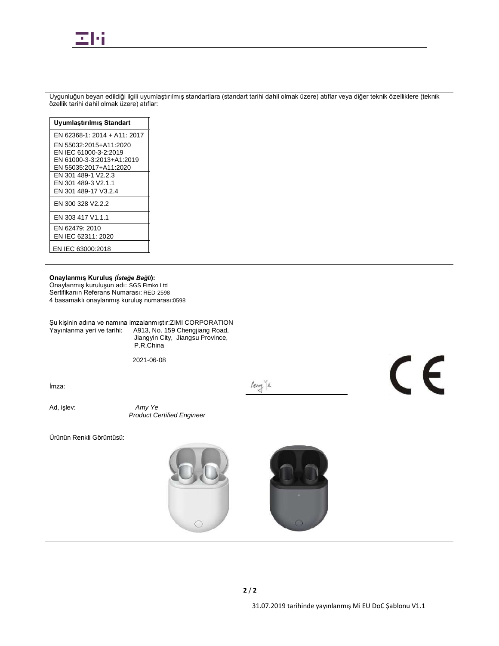

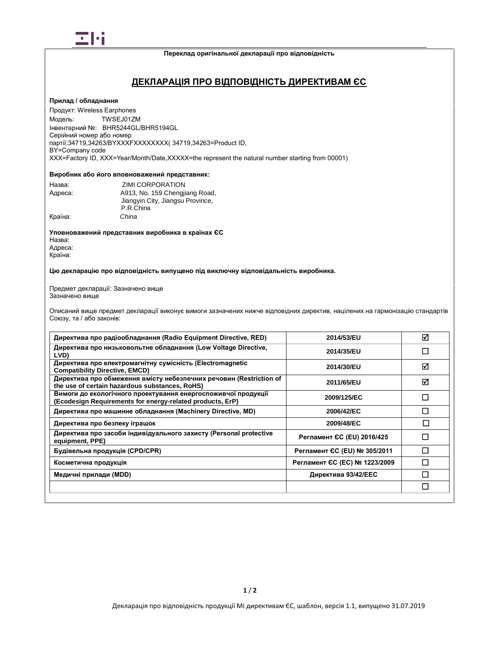

# **ДЕКЛАРАЦІЯ ПРО ВІДПОВІДНІСТЬ ДИРЕКТИВАМ ЄС**

#### **Прилад / обладнання**

Модель: Серійний номер або номер XXX=Factory ID, XXX=Year/Month/Date,XXXXX=the represent the natural number starting from 00001)Продукт: Wireless Earphones TWSEJ01ZM Інвентарний №: BHR5244GL/BHR5194GL партії:34719,34263/BYXXXFXXXXXXXX( 34719,34263=Product ID, BY=Company code

#### **Виробник або його вповноважений представник:**

| Назва:  | ZIMI CORPORATION                 |
|---------|----------------------------------|
| Адреса: | A913, No. 159 Chengjiang Road,   |
|         | Jiangyin City, Jiangsu Province, |
|         | P.R.China                        |
| Країна: | China                            |

**Уповноважений представник виробника в країнах ЄС** Назва: Адреса: Країна:

**Цю декларацію про відповідність випущено під виключну відповідальність виробника.**

Предмет декларації: Зазначено вище Зазначено вище

Описаний вище предмет декларації виконує вимоги зазначених нижче відповідних директив, націлених на гармонізацію стандартів Союзу, та / або законів:

| Директива про радіообладнання (Radio Equipment Directive, RED)                                                             | 2014/53/EU                    | ⊠ |
|----------------------------------------------------------------------------------------------------------------------------|-------------------------------|---|
| Директива про низьковольтне обладнання (Low Voltage Directive,<br>LVD)                                                     | 2014/35/EU                    |   |
| Директива про електромагнітну сумісність (Electromagnetic<br><b>Compatibility Directive, EMCD)</b>                         | 2014/30/EU                    | ⊽ |
| Директива про обмеження вмісту небезпечних речовин (Restriction of<br>the use of certain hazardous substances, RoHS)       | 2011/65/EU                    | ⊠ |
| Вимоги до екологічного проектування енергоспоживчої продукції<br>(Ecodesign Requirements for energy-related products, ErP) | 2009/125/EC                   |   |
| Директива про машинне обладнання (Machinery Directive, MD)                                                                 | 2006/42/EC                    |   |
| Директива про безпеку іграшок                                                                                              | 2009/48/EC                    |   |
| Директива про засоби індивідуального захисту (Personal protective<br>equipment, PPE)                                       | Регламент СС (EU) 2016/425    |   |
| Будівельна продукція (CPD/CPR)                                                                                             | Регламент ЄС (EU) № 305/2011  |   |
| Косметична продукція                                                                                                       | Регламент ЄС (ЕС) № 1223/2009 |   |
| Медичні прилади (MDD)                                                                                                      | Директива 93/42/ЕЕС           |   |
|                                                                                                                            |                               |   |